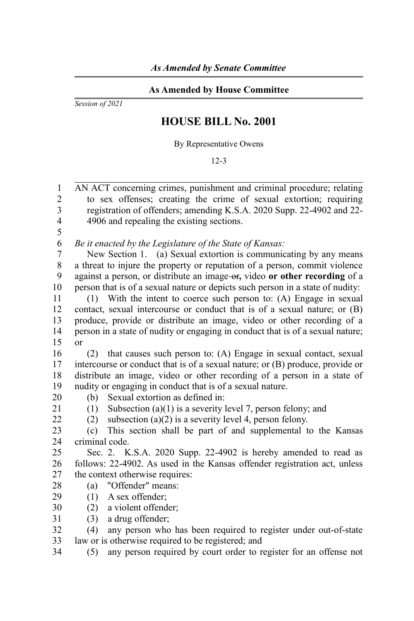## **As Amended by House Committee**

*Session of 2021*

## **HOUSE BILL No. 2001**

By Representative Owens

12-3

AN ACT concerning crimes, punishment and criminal procedure; relating to sex offenses; creating the crime of sexual extortion; requiring registration of offenders; amending K.S.A. 2020 Supp. 22-4902 and 22- 4906 and repealing the existing sections. 1  $\mathfrak{D}$ 3 4

5 6

*Be it enacted by the Legislature of the State of Kansas:*

New Section 1. (a) Sexual extortion is communicating by any means a threat to injure the property or reputation of a person, commit violence against a person, or distribute an image or**,** video **or other recording** of a person that is of a sexual nature or depicts such person in a state of nudity: 7 8 9 10

(1) With the intent to coerce such person to: (A) Engage in sexual contact, sexual intercourse or conduct that is of a sexual nature; or (B) produce, provide or distribute an image, video or other recording of a person in a state of nudity or engaging in conduct that is of a sexual nature; or 11 12 13 14 15

(2) that causes such person to: (A) Engage in sexual contact, sexual intercourse or conduct that is of a sexual nature; or (B) produce, provide or distribute an image, video or other recording of a person in a state of nudity or engaging in conduct that is of a sexual nature. 16 17 18 19

(b) Sexual extortion as defined in: 20

21 22 (1) Subsection (a)(1) is a severity level 7, person felony; and

(2) subsection (a)(2) is a severity level 4, person felony.

(c) This section shall be part of and supplemental to the Kansas criminal code. 23  $24$ 

Sec. 2. K.S.A. 2020 Supp. 22-4902 is hereby amended to read as follows: 22-4902. As used in the Kansas offender registration act, unless the context otherwise requires: 25 26 27

- (a) "Offender" means: 28
- (1) A sex offender; 29
- (2) a violent offender; 30
- (3) a drug offender; 31

(4) any person who has been required to register under out-of-state law or is otherwise required to be registered; and 32 33

(5) any person required by court order to register for an offense not 34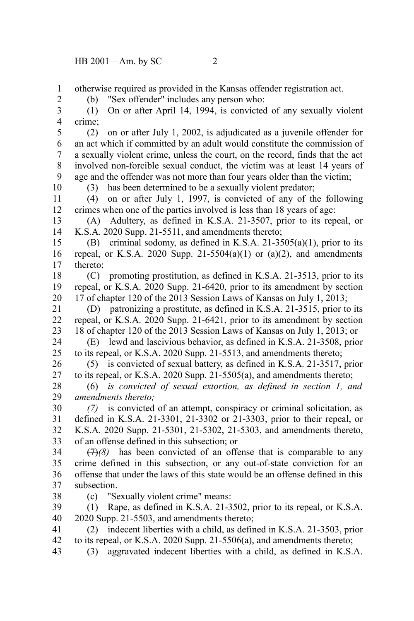otherwise required as provided in the Kansas offender registration act. 1

2

(b) "Sex offender" includes any person who:

(1) On or after April 14, 1994, is convicted of any sexually violent crime; 3 4

(2) on or after July 1, 2002, is adjudicated as a juvenile offender for an act which if committed by an adult would constitute the commission of a sexually violent crime, unless the court, on the record, finds that the act involved non-forcible sexual conduct, the victim was at least 14 years of age and the offender was not more than four years older than the victim; 5 6 7 8 9 10

(3) has been determined to be a sexually violent predator;

(4) on or after July 1, 1997, is convicted of any of the following crimes when one of the parties involved is less than 18 years of age: 11 12

(A) Adultery, as defined in K.S.A. 21-3507, prior to its repeal, or K.S.A. 2020 Supp. 21-5511, and amendments thereto; 13 14

(B) criminal sodomy, as defined in K.S.A. 21-3505(a)(1), prior to its repeal, or K.S.A. 2020 Supp. 21-5504(a)(1) or (a)(2), and amendments thereto; 15 16 17

(C) promoting prostitution, as defined in K.S.A. 21-3513, prior to its repeal, or K.S.A. 2020 Supp. 21-6420, prior to its amendment by section 17 of chapter 120 of the 2013 Session Laws of Kansas on July 1, 2013; 18 19 20

(D) patronizing a prostitute, as defined in K.S.A. 21-3515, prior to its repeal, or K.S.A. 2020 Supp. 21-6421, prior to its amendment by section 18 of chapter 120 of the 2013 Session Laws of Kansas on July 1, 2013; or 21 22 23

(E) lewd and lascivious behavior, as defined in K.S.A. 21-3508, prior to its repeal, or K.S.A. 2020 Supp. 21-5513, and amendments thereto; 24 25

(5) is convicted of sexual battery, as defined in K.S.A. 21-3517, prior to its repeal, or K.S.A. 2020 Supp. 21-5505(a), and amendments thereto; 26 27

(6) *is convicted of sexual extortion, as defined in section 1, and amendments thereto;* 28 29

*(7)* is convicted of an attempt, conspiracy or criminal solicitation, as defined in K.S.A. 21-3301, 21-3302 or 21-3303, prior to their repeal, or K.S.A. 2020 Supp. 21-5301, 21-5302, 21-5303, and amendments thereto, of an offense defined in this subsection; or 30 31 32 33

(7)*(8)* has been convicted of an offense that is comparable to any crime defined in this subsection, or any out-of-state conviction for an offense that under the laws of this state would be an offense defined in this subsection. 34 35 36 37

(c) "Sexually violent crime" means:

(1) Rape, as defined in K.S.A. 21-3502, prior to its repeal, or K.S.A. 2020 Supp. 21-5503, and amendments thereto; 39 40

(2) indecent liberties with a child, as defined in K.S.A. 21-3503, prior to its repeal, or K.S.A. 2020 Supp. 21-5506(a), and amendments thereto; 41 42

(3) aggravated indecent liberties with a child, as defined in K.S.A. 43

38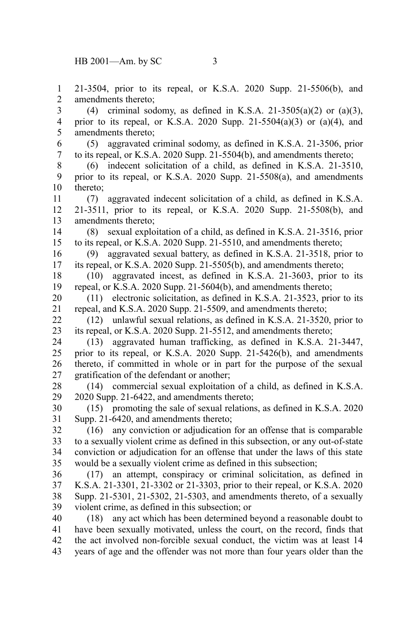21-3504, prior to its repeal, or K.S.A. 2020 Supp. 21-5506(b), and amendments thereto; (4) criminal sodomy, as defined in K.S.A. 21-3505(a)(2) or (a)(3), prior to its repeal, or K.S.A. 2020 Supp. 21-5504(a)(3) or (a)(4), and amendments thereto; (5) aggravated criminal sodomy, as defined in K.S.A. 21-3506, prior to its repeal, or K.S.A. 2020 Supp. 21-5504(b), and amendments thereto; (6) indecent solicitation of a child, as defined in K.S.A. 21-3510, prior to its repeal, or K.S.A. 2020 Supp. 21-5508(a), and amendments thereto; (7) aggravated indecent solicitation of a child, as defined in K.S.A. 21-3511, prior to its repeal, or K.S.A. 2020 Supp. 21-5508(b), and amendments thereto; (8) sexual exploitation of a child, as defined in K.S.A. 21-3516, prior to its repeal, or K.S.A. 2020 Supp. 21-5510, and amendments thereto; (9) aggravated sexual battery, as defined in K.S.A. 21-3518, prior to its repeal, or K.S.A. 2020 Supp. 21-5505(b), and amendments thereto; (10) aggravated incest, as defined in K.S.A. 21-3603, prior to its repeal, or K.S.A. 2020 Supp. 21-5604(b), and amendments thereto; (11) electronic solicitation, as defined in K.S.A. 21-3523, prior to its repeal, and K.S.A. 2020 Supp. 21-5509, and amendments thereto; (12) unlawful sexual relations, as defined in K.S.A. 21-3520, prior to its repeal, or K.S.A. 2020 Supp. 21-5512, and amendments thereto; (13) aggravated human trafficking, as defined in K.S.A. 21-3447, prior to its repeal, or K.S.A. 2020 Supp. 21-5426(b), and amendments thereto, if committed in whole or in part for the purpose of the sexual gratification of the defendant or another; (14) commercial sexual exploitation of a child, as defined in K.S.A. 2020 Supp. 21-6422, and amendments thereto; (15) promoting the sale of sexual relations, as defined in K.S.A. 2020 Supp. 21-6420, and amendments thereto; (16) any conviction or adjudication for an offense that is comparable to a sexually violent crime as defined in this subsection, or any out-of-state conviction or adjudication for an offense that under the laws of this state would be a sexually violent crime as defined in this subsection; (17) an attempt, conspiracy or criminal solicitation, as defined in K.S.A. 21-3301, 21-3302 or 21-3303, prior to their repeal, or K.S.A. 2020 Supp. 21-5301, 21-5302, 21-5303, and amendments thereto, of a sexually violent crime, as defined in this subsection; or (18) any act which has been determined beyond a reasonable doubt to have been sexually motivated, unless the court, on the record, finds that the act involved non-forcible sexual conduct, the victim was at least 14 years of age and the offender was not more than four years older than the 1 2 3 4 5 6 7 8 9 10 11 12 13 14 15 16 17 18 19 20 21 22 23 24 25 26 27 28 29 30 31 32 33 34 35 36 37 38 39 40 41 42 43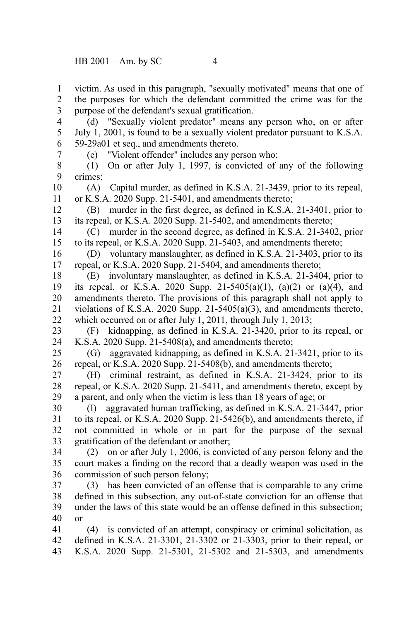victim. As used in this paragraph, "sexually motivated" means that one of the purposes for which the defendant committed the crime was for the purpose of the defendant's sexual gratification. 1 2 3

(d) "Sexually violent predator" means any person who, on or after July 1, 2001, is found to be a sexually violent predator pursuant to K.S.A. 59-29a01 et seq., and amendments thereto. 4 5 6

7

(e) "Violent offender" includes any person who:

(1) On or after July 1, 1997, is convicted of any of the following crimes: 8 9

(A) Capital murder, as defined in K.S.A. 21-3439, prior to its repeal, or K.S.A. 2020 Supp. 21-5401, and amendments thereto; 10 11

(B) murder in the first degree, as defined in K.S.A. 21-3401, prior to its repeal, or K.S.A. 2020 Supp. 21-5402, and amendments thereto; 12 13

(C) murder in the second degree, as defined in K.S.A. 21-3402, prior to its repeal, or K.S.A. 2020 Supp. 21-5403, and amendments thereto; 14 15

(D) voluntary manslaughter, as defined in K.S.A. 21-3403, prior to its repeal, or K.S.A. 2020 Supp. 21-5404, and amendments thereto; 16 17

(E) involuntary manslaughter, as defined in K.S.A. 21-3404, prior to its repeal, or K.S.A. 2020 Supp. 21-5405(a)(1), (a)(2) or (a)(4), and amendments thereto. The provisions of this paragraph shall not apply to violations of K.S.A. 2020 Supp. 21-5405(a)(3), and amendments thereto, which occurred on or after July 1, 2011, through July 1, 2013; 18 19 20 21 22

(F) kidnapping, as defined in K.S.A. 21-3420, prior to its repeal, or K.S.A. 2020 Supp. 21-5408(a), and amendments thereto; 23 24

(G) aggravated kidnapping, as defined in K.S.A. 21-3421, prior to its repeal, or K.S.A. 2020 Supp. 21-5408(b), and amendments thereto; 25 26

(H) criminal restraint, as defined in K.S.A. 21-3424, prior to its repeal, or K.S.A. 2020 Supp. 21-5411, and amendments thereto, except by a parent, and only when the victim is less than 18 years of age; or 27 28 29

(I) aggravated human trafficking, as defined in K.S.A. 21-3447, prior to its repeal, or K.S.A. 2020 Supp. 21-5426(b), and amendments thereto, if not committed in whole or in part for the purpose of the sexual gratification of the defendant or another; 30 31 32 33

(2) on or after July 1, 2006, is convicted of any person felony and the court makes a finding on the record that a deadly weapon was used in the commission of such person felony; 34 35 36

(3) has been convicted of an offense that is comparable to any crime defined in this subsection, any out-of-state conviction for an offense that under the laws of this state would be an offense defined in this subsection; or 37 38 39 40

(4) is convicted of an attempt, conspiracy or criminal solicitation, as defined in K.S.A. 21-3301, 21-3302 or 21-3303, prior to their repeal, or K.S.A. 2020 Supp. 21-5301, 21-5302 and 21-5303, and amendments 41 42 43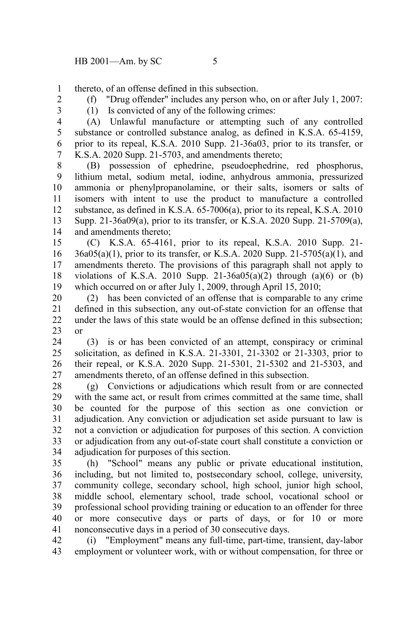thereto, of an offense defined in this subsection. 1

2

(f) "Drug offender" includes any person who, on or after July 1, 2007: (1) Is convicted of any of the following crimes:

3 4

(A) Unlawful manufacture or attempting such of any controlled substance or controlled substance analog, as defined in K.S.A. 65-4159, prior to its repeal, K.S.A. 2010 Supp. 21-36a03, prior to its transfer, or K.S.A. 2020 Supp. 21-5703, and amendments thereto; 5 6 7

(B) possession of ephedrine, pseudoephedrine, red phosphorus, lithium metal, sodium metal, iodine, anhydrous ammonia, pressurized ammonia or phenylpropanolamine, or their salts, isomers or salts of isomers with intent to use the product to manufacture a controlled substance, as defined in K.S.A. 65-7006(a), prior to its repeal, K.S.A. 2010 Supp. 21-36a09(a), prior to its transfer, or K.S.A. 2020 Supp. 21-5709(a), and amendments thereto; 8 9 10 11 12 13 14

(C) K.S.A. 65-4161, prior to its repeal, K.S.A. 2010 Supp. 21- 36a05(a)(1), prior to its transfer, or K.S.A. 2020 Supp. 21-5705(a)(1), and amendments thereto. The provisions of this paragraph shall not apply to violations of K.S.A. 2010 Supp.  $21-36a05(a)(2)$  through  $(a)(6)$  or  $(b)$ which occurred on or after July 1, 2009, through April 15, 2010; 15 16 17 18 19

(2) has been convicted of an offense that is comparable to any crime defined in this subsection, any out-of-state conviction for an offense that under the laws of this state would be an offense defined in this subsection; or 20 21 22 23

(3) is or has been convicted of an attempt, conspiracy or criminal solicitation, as defined in K.S.A. 21-3301, 21-3302 or 21-3303, prior to their repeal, or K.S.A. 2020 Supp. 21-5301, 21-5302 and 21-5303, and amendments thereto, of an offense defined in this subsection. 24 25 26 27

(g) Convictions or adjudications which result from or are connected with the same act, or result from crimes committed at the same time, shall be counted for the purpose of this section as one conviction or adjudication. Any conviction or adjudication set aside pursuant to law is not a conviction or adjudication for purposes of this section. A conviction or adjudication from any out-of-state court shall constitute a conviction or adjudication for purposes of this section. 28 29 30 31 32 33 34

(h) "School" means any public or private educational institution, including, but not limited to, postsecondary school, college, university, community college, secondary school, high school, junior high school, middle school, elementary school, trade school, vocational school or professional school providing training or education to an offender for three or more consecutive days or parts of days, or for 10 or more nonconsecutive days in a period of 30 consecutive days. 35 36 37 38 39 40 41

(i) "Employment" means any full-time, part-time, transient, day-labor employment or volunteer work, with or without compensation, for three or 42 43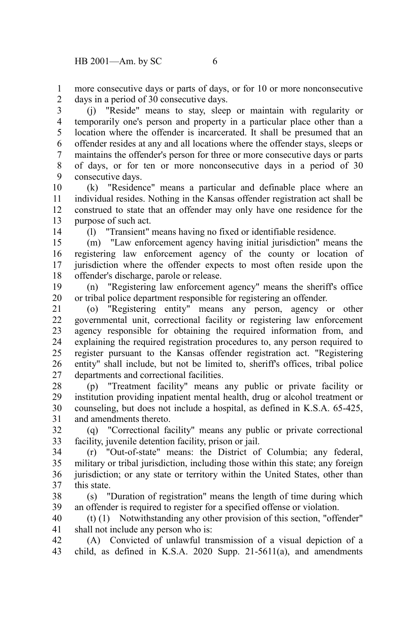more consecutive days or parts of days, or for 10 or more nonconsecutive days in a period of 30 consecutive days. 1 2

(j) "Reside" means to stay, sleep or maintain with regularity or temporarily one's person and property in a particular place other than a location where the offender is incarcerated. It shall be presumed that an offender resides at any and all locations where the offender stays, sleeps or maintains the offender's person for three or more consecutive days or parts of days, or for ten or more nonconsecutive days in a period of 30 consecutive days. 3 4 5 6 7 8 9

(k) "Residence" means a particular and definable place where an individual resides. Nothing in the Kansas offender registration act shall be construed to state that an offender may only have one residence for the purpose of such act. 10 11 12 13

14

(l) "Transient" means having no fixed or identifiable residence.

(m) "Law enforcement agency having initial jurisdiction" means the registering law enforcement agency of the county or location of jurisdiction where the offender expects to most often reside upon the offender's discharge, parole or release. 15 16 17 18

(n) "Registering law enforcement agency" means the sheriff's office or tribal police department responsible for registering an offender. 19 20

(o) "Registering entity" means any person, agency or other governmental unit, correctional facility or registering law enforcement agency responsible for obtaining the required information from, and explaining the required registration procedures to, any person required to register pursuant to the Kansas offender registration act. "Registering entity" shall include, but not be limited to, sheriff's offices, tribal police departments and correctional facilities. 21 22 23 24 25 26 27

(p) "Treatment facility" means any public or private facility or institution providing inpatient mental health, drug or alcohol treatment or counseling, but does not include a hospital, as defined in K.S.A. 65-425, and amendments thereto. 28 29 30 31

(q) "Correctional facility" means any public or private correctional facility, juvenile detention facility, prison or jail. 32 33

(r) "Out-of-state" means: the District of Columbia; any federal, military or tribal jurisdiction, including those within this state; any foreign jurisdiction; or any state or territory within the United States, other than this state. 34 35 36 37

(s) "Duration of registration" means the length of time during which an offender is required to register for a specified offense or violation. 38 39

(t) (1) Notwithstanding any other provision of this section, "offender" shall not include any person who is: 40 41

(A) Convicted of unlawful transmission of a visual depiction of a child, as defined in K.S.A. 2020 Supp. 21-5611(a), and amendments 42 43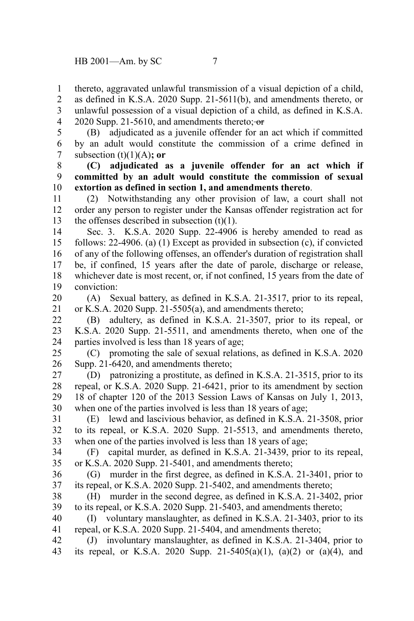thereto, aggravated unlawful transmission of a visual depiction of a child, as defined in K.S.A. 2020 Supp. 21-5611(b), and amendments thereto, or unlawful possession of a visual depiction of a child, as defined in K.S.A. 2020 Supp. 21-5610, and amendments thereto;  $\Theta$ 1 2 3 4

(B) adjudicated as a juvenile offender for an act which if committed by an adult would constitute the commission of a crime defined in subsection  $(t)(1)(A)$ ; or 5 6 7

**(C) adjudicated as a juvenile offender for an act which if committed by an adult would constitute the commission of sexual extortion as defined in section 1, and amendments thereto**. 8 9 10

(2) Notwithstanding any other provision of law, a court shall not order any person to register under the Kansas offender registration act for the offenses described in subsection  $(t)(1)$ . 11 12 13

Sec. 3. K.S.A. 2020 Supp. 22-4906 is hereby amended to read as follows: 22-4906. (a) (1) Except as provided in subsection (c), if convicted of any of the following offenses, an offender's duration of registration shall be, if confined, 15 years after the date of parole, discharge or release, whichever date is most recent, or, if not confined, 15 years from the date of conviction: 14 15 16 17 18 19

(A) Sexual battery, as defined in K.S.A. 21-3517, prior to its repeal, or K.S.A. 2020 Supp. 21-5505(a), and amendments thereto; 20 21

(B) adultery, as defined in K.S.A. 21-3507, prior to its repeal, or K.S.A. 2020 Supp. 21-5511, and amendments thereto, when one of the parties involved is less than 18 years of age; 22 23 24

(C) promoting the sale of sexual relations, as defined in K.S.A. 2020 Supp. 21-6420, and amendments thereto; 25 26

(D) patronizing a prostitute, as defined in K.S.A. 21-3515, prior to its repeal, or K.S.A. 2020 Supp. 21-6421, prior to its amendment by section 18 of chapter 120 of the 2013 Session Laws of Kansas on July 1, 2013, when one of the parties involved is less than 18 years of age; 27 28 29 30

(E) lewd and lascivious behavior, as defined in K.S.A. 21-3508, prior to its repeal, or K.S.A. 2020 Supp. 21-5513, and amendments thereto, when one of the parties involved is less than 18 years of age; 31 32 33

(F) capital murder, as defined in K.S.A. 21-3439, prior to its repeal, or K.S.A. 2020 Supp. 21-5401, and amendments thereto; 34 35

(G) murder in the first degree, as defined in K.S.A. 21-3401, prior to its repeal, or K.S.A. 2020 Supp. 21-5402, and amendments thereto; 36 37

(H) murder in the second degree, as defined in K.S.A. 21-3402, prior to its repeal, or K.S.A. 2020 Supp. 21-5403, and amendments thereto; 38 39

(I) voluntary manslaughter, as defined in K.S.A. 21-3403, prior to its repeal, or K.S.A. 2020 Supp. 21-5404, and amendments thereto; 40 41

(J) involuntary manslaughter, as defined in K.S.A. 21-3404, prior to its repeal, or K.S.A. 2020 Supp. 21-5405(a)(1), (a)(2) or (a)(4), and 42 43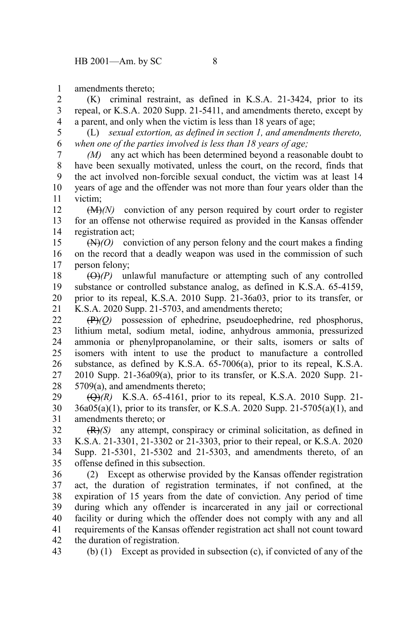amendments thereto; 1

(K) criminal restraint, as defined in K.S.A. 21-3424, prior to its repeal, or K.S.A. 2020 Supp. 21-5411, and amendments thereto, except by a parent, and only when the victim is less than 18 years of age; 2 3 4

(L) *sexual extortion, as defined in section 1, and amendments thereto, when one of the parties involved is less than 18 years of age;* 5 6

*(M)* any act which has been determined beyond a reasonable doubt to have been sexually motivated, unless the court, on the record, finds that the act involved non-forcible sexual conduct, the victim was at least 14 years of age and the offender was not more than four years older than the victim; 7 8 9 10 11

(M)*(N)* conviction of any person required by court order to register for an offense not otherwise required as provided in the Kansas offender registration act; 12 13 14

(N)*(O)* conviction of any person felony and the court makes a finding on the record that a deadly weapon was used in the commission of such person felony; 15 16 17

 $(\Theta)$ (P) unlawful manufacture or attempting such of any controlled substance or controlled substance analog, as defined in K.S.A. 65-4159, prior to its repeal, K.S.A. 2010 Supp. 21-36a03, prior to its transfer, or K.S.A. 2020 Supp. 21-5703, and amendments thereto; 18 19 20 21

(P)*(Q)* possession of ephedrine, pseudoephedrine, red phosphorus, lithium metal, sodium metal, iodine, anhydrous ammonia, pressurized ammonia or phenylpropanolamine, or their salts, isomers or salts of isomers with intent to use the product to manufacture a controlled substance, as defined by K.S.A. 65-7006(a), prior to its repeal, K.S.A. 2010 Supp. 21-36a09(a), prior to its transfer, or K.S.A. 2020 Supp. 21- 5709(a), and amendments thereto; 22 23 24 25 26 27 28

(Q)*(R)* K.S.A. 65-4161, prior to its repeal, K.S.A. 2010 Supp. 21-  $36a05(a)(1)$ , prior to its transfer, or K.S.A. 2020 Supp. 21-5705(a)(1), and amendments thereto; or 29 30 31

(R)*(S)* any attempt, conspiracy or criminal solicitation, as defined in K.S.A. 21-3301, 21-3302 or 21-3303, prior to their repeal, or K.S.A. 2020 Supp. 21-5301, 21-5302 and 21-5303, and amendments thereto, of an offense defined in this subsection. 32 33 34 35

(2) Except as otherwise provided by the Kansas offender registration act, the duration of registration terminates, if not confined, at the expiration of 15 years from the date of conviction. Any period of time during which any offender is incarcerated in any jail or correctional facility or during which the offender does not comply with any and all requirements of the Kansas offender registration act shall not count toward the duration of registration. 36 37 38 39 40 41 42

(b) (1) Except as provided in subsection (c), if convicted of any of the 43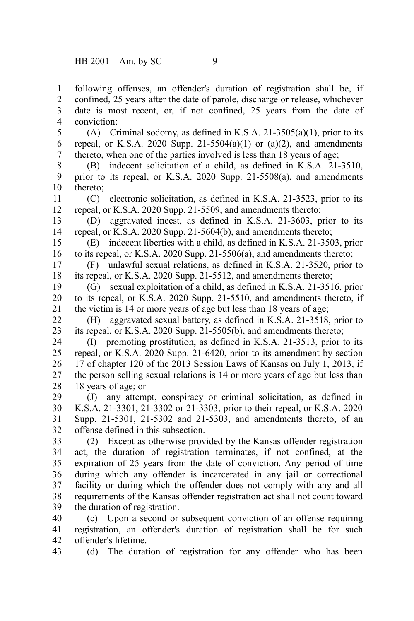following offenses, an offender's duration of registration shall be, if confined, 25 years after the date of parole, discharge or release, whichever date is most recent, or, if not confined, 25 years from the date of conviction: 1 2 3 4

(A) Criminal sodomy, as defined in K.S.A. 21-3505(a)(1), prior to its repeal, or K.S.A. 2020 Supp. 21-5504(a)(1) or (a)(2), and amendments thereto, when one of the parties involved is less than 18 years of age; 5 6 7

(B) indecent solicitation of a child, as defined in K.S.A. 21-3510, prior to its repeal, or K.S.A. 2020 Supp. 21-5508(a), and amendments thereto; 8 9 10

(C) electronic solicitation, as defined in K.S.A. 21-3523, prior to its repeal, or K.S.A. 2020 Supp. 21-5509, and amendments thereto; 11 12

(D) aggravated incest, as defined in K.S.A. 21-3603, prior to its repeal, or K.S.A. 2020 Supp. 21-5604(b), and amendments thereto; 13 14

(E) indecent liberties with a child, as defined in K.S.A. 21-3503, prior to its repeal, or K.S.A. 2020 Supp. 21-5506(a), and amendments thereto; 15 16

(F) unlawful sexual relations, as defined in K.S.A. 21-3520, prior to its repeal, or K.S.A. 2020 Supp. 21-5512, and amendments thereto; 17 18

(G) sexual exploitation of a child, as defined in K.S.A. 21-3516, prior to its repeal, or K.S.A. 2020 Supp. 21-5510, and amendments thereto, if the victim is 14 or more years of age but less than 18 years of age; 19 20 21

(H) aggravated sexual battery, as defined in K.S.A. 21-3518, prior to its repeal, or K.S.A. 2020 Supp. 21-5505(b), and amendments thereto; 22 23

(I) promoting prostitution, as defined in K.S.A. 21-3513, prior to its repeal, or K.S.A. 2020 Supp. 21-6420, prior to its amendment by section 17 of chapter 120 of the 2013 Session Laws of Kansas on July 1, 2013, if the person selling sexual relations is 14 or more years of age but less than 18 years of age; or 24 25 26 27 28

(J) any attempt, conspiracy or criminal solicitation, as defined in K.S.A. 21-3301, 21-3302 or 21-3303, prior to their repeal, or K.S.A. 2020 Supp. 21-5301, 21-5302 and 21-5303, and amendments thereto, of an offense defined in this subsection. 29 30 31 32

(2) Except as otherwise provided by the Kansas offender registration act, the duration of registration terminates, if not confined, at the expiration of 25 years from the date of conviction. Any period of time during which any offender is incarcerated in any jail or correctional facility or during which the offender does not comply with any and all requirements of the Kansas offender registration act shall not count toward the duration of registration. 33 34 35 36 37 38 39

(c) Upon a second or subsequent conviction of an offense requiring registration, an offender's duration of registration shall be for such offender's lifetime. 40 41 42

(d) The duration of registration for any offender who has been 43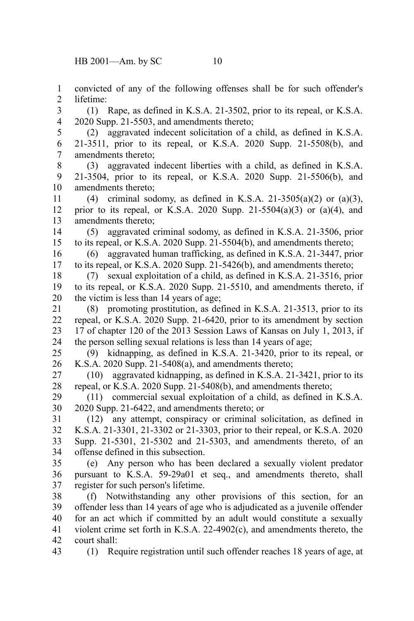convicted of any of the following offenses shall be for such offender's lifetime: 1 2

(1) Rape, as defined in K.S.A. 21-3502, prior to its repeal, or K.S.A. 2020 Supp. 21-5503, and amendments thereto; 3 4

(2) aggravated indecent solicitation of a child, as defined in K.S.A. 21-3511, prior to its repeal, or K.S.A. 2020 Supp. 21-5508(b), and amendments thereto; 5 6 7

(3) aggravated indecent liberties with a child, as defined in K.S.A. 21-3504, prior to its repeal, or K.S.A. 2020 Supp. 21-5506(b), and amendments thereto; 8 9 10

(4) criminal sodomy, as defined in K.S.A. 21-3505(a)(2) or (a)(3), prior to its repeal, or K.S.A. 2020 Supp. 21-5504(a)(3) or (a)(4), and amendments thereto; 11 12 13

(5) aggravated criminal sodomy, as defined in K.S.A. 21-3506, prior to its repeal, or K.S.A. 2020 Supp. 21-5504(b), and amendments thereto; 14 15

(6) aggravated human trafficking, as defined in K.S.A. 21-3447, prior to its repeal, or K.S.A. 2020 Supp. 21-5426(b), and amendments thereto; 16 17

(7) sexual exploitation of a child, as defined in K.S.A. 21-3516, prior to its repeal, or K.S.A. 2020 Supp. 21-5510, and amendments thereto, if the victim is less than 14 years of age; 18 19 20

(8) promoting prostitution, as defined in K.S.A. 21-3513, prior to its repeal, or K.S.A. 2020 Supp. 21-6420, prior to its amendment by section 17 of chapter 120 of the 2013 Session Laws of Kansas on July 1, 2013, if the person selling sexual relations is less than 14 years of age; 21 22 23 24

(9) kidnapping, as defined in K.S.A. 21-3420, prior to its repeal, or K.S.A. 2020 Supp. 21-5408(a), and amendments thereto; 25 26

(10) aggravated kidnapping, as defined in K.S.A. 21-3421, prior to its repeal, or K.S.A. 2020 Supp. 21-5408(b), and amendments thereto; 27 28

(11) commercial sexual exploitation of a child, as defined in K.S.A. 2020 Supp. 21-6422, and amendments thereto; or 29 30

(12) any attempt, conspiracy or criminal solicitation, as defined in K.S.A. 21-3301, 21-3302 or 21-3303, prior to their repeal, or K.S.A. 2020 Supp. 21-5301, 21-5302 and 21-5303, and amendments thereto, of an offense defined in this subsection. 31 32 33 34

(e) Any person who has been declared a sexually violent predator pursuant to K.S.A. 59-29a01 et seq., and amendments thereto, shall register for such person's lifetime. 35 36 37

(f) Notwithstanding any other provisions of this section, for an offender less than 14 years of age who is adjudicated as a juvenile offender for an act which if committed by an adult would constitute a sexually violent crime set forth in K.S.A. 22-4902(c), and amendments thereto, the court shall: 38 39 40 41 42

(1) Require registration until such offender reaches 18 years of age, at 43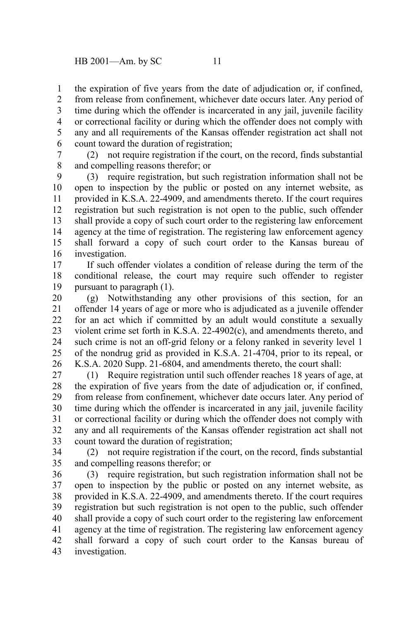the expiration of five years from the date of adjudication or, if confined, 1

from release from confinement, whichever date occurs later. Any period of time during which the offender is incarcerated in any jail, juvenile facility or correctional facility or during which the offender does not comply with any and all requirements of the Kansas offender registration act shall not count toward the duration of registration; 2 3 4 5 6

(2) not require registration if the court, on the record, finds substantial and compelling reasons therefor; or 7 8

(3) require registration, but such registration information shall not be open to inspection by the public or posted on any internet website, as provided in K.S.A. 22-4909, and amendments thereto. If the court requires registration but such registration is not open to the public, such offender shall provide a copy of such court order to the registering law enforcement agency at the time of registration. The registering law enforcement agency shall forward a copy of such court order to the Kansas bureau of investigation. 9 10 11 12 13 14 15 16

If such offender violates a condition of release during the term of the conditional release, the court may require such offender to register pursuant to paragraph (1). 17 18 19

(g) Notwithstanding any other provisions of this section, for an offender 14 years of age or more who is adjudicated as a juvenile offender for an act which if committed by an adult would constitute a sexually violent crime set forth in K.S.A. 22-4902(c), and amendments thereto, and such crime is not an off-grid felony or a felony ranked in severity level 1 of the nondrug grid as provided in K.S.A. 21-4704, prior to its repeal, or K.S.A. 2020 Supp. 21-6804, and amendments thereto, the court shall: 20 21 22 23 24 25 26

(1) Require registration until such offender reaches 18 years of age, at the expiration of five years from the date of adjudication or, if confined, from release from confinement, whichever date occurs later. Any period of time during which the offender is incarcerated in any jail, juvenile facility or correctional facility or during which the offender does not comply with any and all requirements of the Kansas offender registration act shall not count toward the duration of registration; 27 28 29 30 31 32 33

(2) not require registration if the court, on the record, finds substantial and compelling reasons therefor; or 34 35

(3) require registration, but such registration information shall not be open to inspection by the public or posted on any internet website, as provided in K.S.A. 22-4909, and amendments thereto. If the court requires registration but such registration is not open to the public, such offender shall provide a copy of such court order to the registering law enforcement agency at the time of registration. The registering law enforcement agency shall forward a copy of such court order to the Kansas bureau of investigation. 36 37 38 39 40 41 42 43